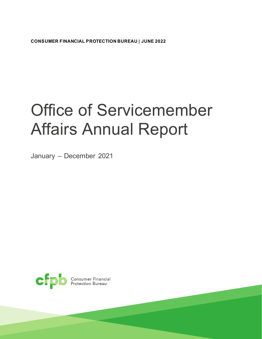**CONSUMER FINANCIAL PROTECTION BUREAU | JUNE 2022**

# Office of Servicemember Affairs Annual Report

January – December 2021

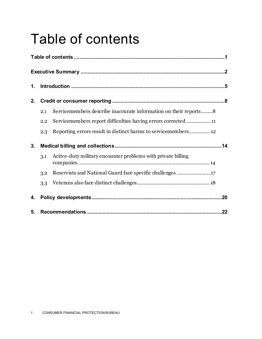## <span id="page-1-0"></span>Table of contents

| 1. |     |                                                                  |     |
|----|-----|------------------------------------------------------------------|-----|
| 2. |     |                                                                  |     |
|    | 2.1 | Servicemembers describe inaccurate information on their reports8 |     |
|    | 2.2 | Servicemembers report difficulties having errors corrected11     |     |
|    | 2.3 | Reporting errors result in distinct harms to servicemembers12    |     |
| 3. |     |                                                                  |     |
|    | 3.1 | Active-duty military encounter problems with private billing     |     |
|    | 3.2 |                                                                  |     |
|    | 3.3 |                                                                  |     |
| 4. |     |                                                                  |     |
| 5. |     |                                                                  | .22 |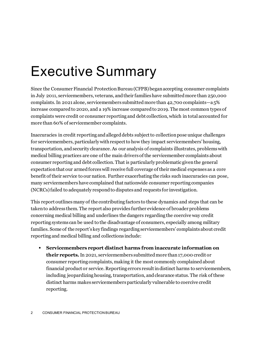## <span id="page-2-0"></span>Executive Summary

Since the Consumer Financial Protection Bureau (CFPB) began accepting consumer complaints in July 2011, servicemembers, veterans, and their families have submitted more than 250,000 complaints. In 2021 alone, servicemembers submitted more than 42,700 complaints—a 5% increase compared to 2020, and a 19% increase compared to 2019. The most common types of complaints were credit or consumer reporting and debt collection, which in total accounted for more than 60% of servicemember complaints.

Inaccuracies in credit reporting and alleged debts subject to collection pose unique challenges for servicemembers, particularly with respect to how they impact servicemembers' housing, transportation, and security clearance. As our analysis of complaints illustrates, problems with medical billing practices are one of the main drivers of the servicemember complaints about consumer reporting and debt collection. That is particularly problematic given the general expectation that our armed forceswill receive full coverage of their medical expenses as a core benefit of their service to our nation. Further exacerbating the risks such inaccuracies can pose, many servicemembers have complained that nationwide consumer reporting companies (NCRCs)failed to adequately respond to disputes and requests for investigation.

This report outlines many of the contributing factors to these dynamics and steps that can be taken to address them. The report also provides further evidence of broader problems concerning medical billing and underlines the dangers regarding the coercive way credit reporting systems can be used to the disadvantage of consumers, especially among military families. Some of the report's key findings regarding servicemembers' complaints about credit reporting and medical billing and collections include:

 **Servicemembers report distinct harms from inaccurate information on their reports.**In 2021, servicemembers submitted more than 17,000 credit or consumer reporting complaints, making it the most commonly complained about financial product or service. Reporting errors result in distinct harms to servicemembers, including jeopardizing housing, transportation, and clearance status. The risk of these distinct harms makes servicemembers particularly vulnerable to coercive credit reporting.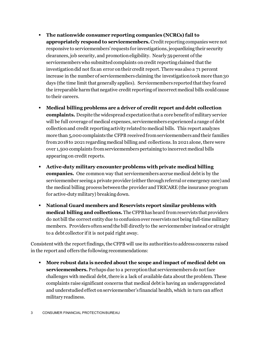- **The nationwide consumer reporting companies (NCRCs) fail to appropriately respond to servicemembers.** Credit reporting companies were not responsive to servicemembers' requests for investigations, jeopardizing their security clearances, job security, and promotion eligibility. Nearly 59 percent of the servicemembers who submitted complaints on credit reporting claimed that the investigation did not fix an error on their credit report. There was also a 71 percent increase in the number of servicemembers claiming the investigation took more than 30 days (the time limit that generally applies). Servicemembers reported that they feared the irreparable harm that negative credit reporting of incorrect medical bills could cause to their careers.
- **Medical billing problems are a driver of credit report and debt collection complaints.** Despite the widespread expectation that a core benefit of military service will be full coverage of medical expenses, servicemembers experienced a range of debt collection and credit reporting activity related to medical bills. This report analyzes more than 5,000 complaints the CFPB received from servicemembers and their families from 2018 to 2021 regarding medical billing and collections. In 2021 alone, there were over 1,500 complaints from servicemembers pertaining to incorrect medical bills appearing on credit reports.
- **Active-duty military encounter problems with private medical billing companies.** One common way that servicemembers accrue medical debt is by the servicemember seeing a private provider (either through referral or emergency care) and the medical billing process between the provider and TRICARE (the insurance program for active-duty military) breaking down.
- **National Guard members and Reservists report similar problems with medical billing and collections.** The CFPB has heard from reservists that providers do not bill the correct entity due to confusion over reservists not being full-time military members. Providers often send the bill directly to the servicemember instead or straight to a debt collector if it is not paid right away.

Consistent with the report findings, the CFPB will use its authorities to address concerns raised in the report and offers the following recommendations:

 **More robust data is needed about the scope and impact of medical debt on servicemembers.** Perhaps due to a perception that servicemembers do not face challenges with medical debt, there is a lack of available data about the problem. These complaints raise significant concerns that medical debt is having an underappreciated and understudied effect on servicemember's financial health, which in turn can affect military readiness.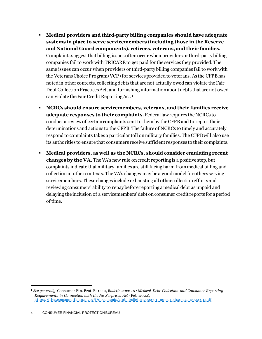- **Medical providers and third-party billing companies should have adequate systems in place to serve servicemembers (including those in the Reserve and National Guard components), retirees, veterans, and their families.**  Complaints suggest that billing issues often occur when providers or third-party billing companies fail to work with TRICARE to get paid for the services they provided. The same issues can occur when providers or third-party billing companies fail to work with the Veterans Choice Program (VCP) for services provided to veterans. As the CFPB has noted in other contexts, collecting debts that are not actually owedcan violate the Fair Debt Collection Practices Act, and furnishing information about debts that are not owed can violate the Fair Credit Reporting Act. [1](#page-4-0)
- **NCRCs should ensure servicemembers, veterans, and their families receive adequate responses to their complaints.** Federal law requires the NCRCs to conduct a review of certain complaints sent to them by the CFPB and to report their determinations and actions to the CFPB. The failure of NCRCs to timely and accurately respond to complaints takes a particular toll on military families. The CFPB will also use its authorities to ensure that consumers receive sufficient responses to their complaints.
- **Medical providers, as well as the NCRCs, should consider emulating recent changes by the VA.** The VA's new rule on credit reporting is a positive step, but complaints indicate that military families are still facing harm from medical billing and collection in other contexts. The VA's changes may be a good model for others serving servicemembers. These changes include exhausting all other collection efforts and reviewing consumers' ability to repay before reporting a medical debt as unpaid and delaying the inclusion of a servicemembers' debt on consumer credit reports for a period of time.

<span id="page-4-0"></span><sup>1</sup> *See generally* Consumer Fin. Prot. Bureau, *Bulletin 2022-01: Medical Debt Collection and Consumer Reporting Requirements in Connection with the No Surprises Act* (Feb. 2022), [https://files.consumerfinance.gov/f/documents/cfpb\\_bulletin-2022-01\\_no-surprises-act\\_2022-01.pdf](https://files.consumerfinance.gov/f/documents/cfpb_bulletin-2022-01_no-surprises-act_2022-01.pdf).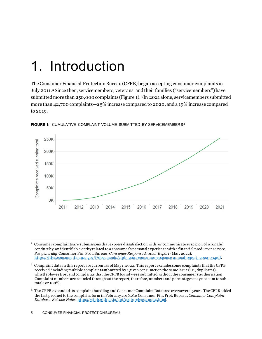### <span id="page-5-0"></span>1. Introduction

The Consumer Financial Protection Bureau (CFPB) began accepting consumer complaints in July [2](#page-5-1)011.<sup>2</sup> Since then, servicemembers, veterans, and their families ("servicemembers") have submitted more than 250,000 complaints (Figure 1).[3](#page-5-2) In 2021 alone, servicemembers submitted more than 42,700 complaints—a 5% increase compared to 2020, and a 19% increase compared to 2019.



**FIGURE 1:** CUMULATIVE COMPLAINT VOLUME SUBMITTED BY SERVICEMEMBERS[4](#page-5-3)

<span id="page-5-1"></span><sup>2</sup> Consumer complaints are submissions that express dissatisfaction with, or communicate suspicion of wrongful conduct by, an identifiable entity related to a consumer's personal experience with a financial product or service. *See generally* Consumer Fin. Prot. Bureau, *Consumer Response Annual Report* (Mar. 2022), [https://files.consumerfinance.gov/f/documents/cfpb\\_2021-consumer-response-annual-report\\_2022-03.pdf.](https://files.consumerfinance.gov/f/documents/cfpb_2021-consumer-response-annual-report_2022-03.pdf)

<span id="page-5-2"></span><sup>3</sup> Complaint data in this report are current as of May 1, 2022. This report excludes some complaints that the CFPB received, including multiple complaints submitted by a given consumer on the same issue (i.e., duplicates), whistleblower tips, and complaints that the CFPB found were submitted without the consumer's authorization. Complaint numbers are rounded throughout the report; therefore, numbers and percentages may not sum to subtotals or 100%.

<span id="page-5-3"></span><sup>4</sup> The CFPB expanded its complaint handling and Consumer Complaint Database over several years. The CFPB added the last product to the complaint form in February 2016. *See* Consumer Fin. Prot. Bureau, *Consumer Complaint Database Release Notes*, [https://cfpb.github.io/api/ccdb/release-notes.html.](https://cfpb.github.io/api/ccdb/release-notes.html)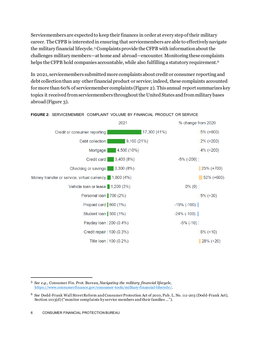Servicemembers are expected to keep their finances in order at every step of their military career. The CFPB is interested in ensuring that servicemembers are able to effectively navigate the military financial lifecycle. [5](#page-6-0) Complaints provide the CFPB with information about the challenges military members—at home and abroad—encounter. Monitoring these complaints helps the CFPB hold companies accountable, while also fulfilling a statutory requirement. [6](#page-6-1)

In 2021, servicemembers submitted more complaints about credit or consumer reporting and debt collectionthan any other financial product or service; indeed, these complaints accounted for more than 60% of servicemember complaints (Figure 2). This annual report summarizes key topics it received from servicemembers throughout the United States and from military bases abroad(Figure 3).



**FIGURE 2:** SERVICEMEMBER COMPLAINT VOLUME BY FINANCIAL PRODUCT OR SERVICE

<span id="page-6-0"></span><sup>5</sup> *See e.g.,* Consumer Fin. Prot. Bureau, *Navigating the military financial lifecycle*, [https://www.consumerfinance.gov/consumer-tools/military-financial-lifecycle/.](https://www.consumerfinance.gov/consumer-tools/military-financial-lifecycle/)

<span id="page-6-1"></span><sup>6</sup> *See* Dodd-Frank Wall Street Reform and Consumer Protection Act of 2010, Pub. L. No. 111-203 (Dodd-Frank Act), Section 1013(d) ("monitor complaints by service members and their families …").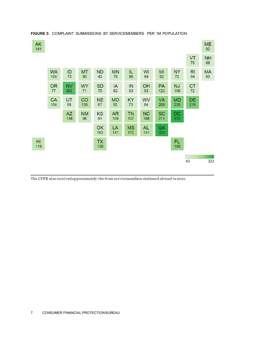

#### **FIGURE 3:** COMPLAINT SUBMISSIONS BY SERVICEMEMBERS PER 1M POPULATION

The CFPB also received approximately 760 from servicemembers stationed abroad in 2021.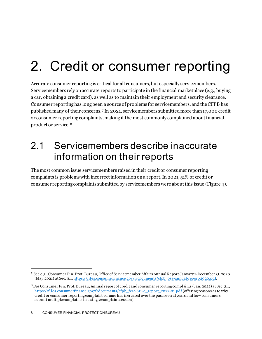## <span id="page-8-0"></span>2. Credit or consumer reporting

Accurate consumer reporting is critical for all consumers, but especially servicemembers. Servicemembers rely on accurate reports to participate in the financial marketplace (e.g., buying a car, obtaining a credit card), as well as to maintain their employment and security clearance. Consumer reporting has long been a source of problems for servicemembers, and the CFPB has published many of their concerns. [7](#page-8-2) In 2021, servicemembers submitted more than 17,000 credit or consumer reporting complaints, making it the most commonly complained about financial product or service.[8](#page-8-3)

### <span id="page-8-1"></span>2.1 Servicemembers describe inaccurate information on their reports

The most common issue servicemembers raised in their credit or consumer reporting complaints is problems with incorrect information on a report. In 2021, 51% of credit or consumer reporting complaints submitted by servicemembers were about this issue (Figure 4).

<span id="page-8-2"></span><sup>7</sup> See e.g., Consumer Fin. Prot. Bureau, Office of Servicemember Affairs Annual Report January 1-December 31, 2020 (May 2021) at Sec. 3.1[, https://files.consumerfinance.gov/f/documents/cfpb\\_osa-annual-report-2020.pdf.](https://files.consumerfinance.gov/f/documents/cfpb_osa-annual-report-2020.pdf)

<span id="page-8-3"></span><sup>8</sup> *See* Consumer Fin. Prot. Bureau, Annual report of credit and consumer reporting complaints (Jan. 2022) at Sec. 3.1, [https://files.consumerfinance.gov/f/documents/cfpb\\_fcra-611-e\\_report\\_2022-01.pdf](https://files.consumerfinance.gov/f/documents/cfpb_fcra-611-e_report_2022-01.pdf) (offering reasons as to why credit or consumer reporting complaint volume has increased over the past several years and how consumers submit multiple complaints in a single complaint session).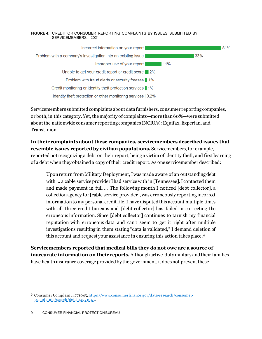#### **FIGURE 4:** CREDIT OR CONSUMER REPORTING COMPLAINTS BY ISSUES SUBMITTED BY SERVICEMEMBERS, 2021



Servicemembers submitted complaints about data furnishers, consumer reporting companies, or both, in this category. Yet, the majority of complaints—more than  $60\%$ —were submitted about the nationwide consumer reporting companies (NCRCs): Equifax, Experian, and TransUnion.

**In their complaints about these companies, servicemembers described issues that resemble issues reported by civilian populations.** Servicemembers, for example, reportednot recognizing a debt on their report, being a victim of identity theft, and first learning of a debt when they obtained a copy of their credit report. As one servicemember described:

Upon return from Military Deployment, I was made aware of an outstanding debt with … a cable service provider I had service with in [Tennessee]. I contacted them and made payment in full … The following month I noticed [debt collector], a collection agency for [cable service provider], was erroneously reporting incorrect information to my personal credit file. I have disputed this account multiple times with all three credit bureaus and [debt collector] has failed in correcting the erroneous information. Since [debt collector] continues to tarnish my financial reputation with erroneous data and can't seem to get it right after multiple investigations resulting in them stating "data is validated," I demand deletion of this account and request your assistance in ensuring this action takes place. [9](#page-9-0)

**Servicemembers reported that medical bills they do not owe are a source of inaccurate information on their reports.** Although active-duty military and their families have health insurance coverage provided by the government, it does not prevent these

<span id="page-9-0"></span><sup>9</sup> Consumer Complaint 477104[5, https://www.consumerfinance.gov/data-research/consumer](https://www.consumerfinance.gov/data-research/consumer-complaints/search/detail/4771045)[complaints/search/detail/4771045](https://www.consumerfinance.gov/data-research/consumer-complaints/search/detail/4771045).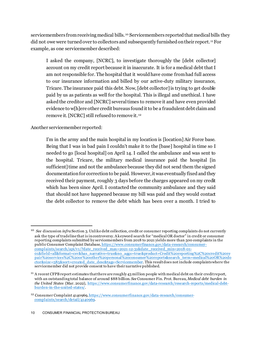servicemembers from receiving medical bills. [10](#page-10-0) Servicemembers reported that medical bills they did not owe were turned over to collectors and subsequently furnished on their report. [11](#page-10-1) For example, as one servicemember described:

I asked the company, [NCRC], to investigate thoroughly the [debt collector] account on my credit report because it in inaccurate. It is for a medical debt that I am not responsible for. The hospital that it would have come from had full access to our insurance information and billed by our active-duty military insurance, Tricare. The insurance paid this debt. Now, [debt collector]is trying to get double paid by us as patients as well for the hospital. This is illegal and unethical. I have asked the creditor and [NCRC] several times to remove it and have even provided evidence to w[h]ere other credit bureaus found it to be a fraudulent debt claim and remove it. [NCRC] still refused to remove it. [12](#page-10-2)

Another servicemember reported:

I'm in the army and the main hospital in my location is [location] Air Force base. Being that I was in bad pain I couldn't make it to the [base] hospital in time so I needed to go [local hospital] on April 14. I called the ambulance and was sent to the hospital. Tricare, the military medical insurance paid the hospital [in sufficient] time and not the ambulance because they did not send them the signed documentation for correction to be paid. However, it was eventually fixed and they received their payment, roughly 3 days before the charges appeared on my credit which has been since April. I contacted the community ambulance and they said that should not have happened because my bill was paid and they would contact the debt collector to remove the debt which has been over a month. I tried to

<span id="page-10-0"></span><sup>&</sup>lt;sup>10</sup> See discussion *infra* Section 3. Unlike debt collection, credit or consumer reporting complaints do not currently ask the type of tradeline that is in controversy. A keyword search for "medical OR doctor" in credit or consumer reporting complaints submitted by servicemembers from 2018 to 2021 yields more than 500 complaints in the public Consumer Complaint Database[, https://www.consumerfinance.gov/data-research/consumer](https://www.consumerfinance.gov/data-research/consumer-complaints/search/api/v1/?date_received_max=2021-12-31&date_received_min=2018-01-01&field=all&format=csv&has_narrative=true&no_aggs=true&product=Credit%20reporting%2C%20credit%20repair%20services%2C%20or%20other%20personal%20consumer%20reports&search_term=medical%20OR%20doctor&size=585&sort=created_date_desc&tags=Servicemember)[complaints/search/api/v1/?date\\_received\\_max=2021-12-31&date\\_received\\_min=2018-01-](https://www.consumerfinance.gov/data-research/consumer-complaints/search/api/v1/?date_received_max=2021-12-31&date_received_min=2018-01-01&field=all&format=csv&has_narrative=true&no_aggs=true&product=Credit%20reporting%2C%20credit%20repair%20services%2C%20or%20other%20personal%20consumer%20reports&search_term=medical%20OR%20doctor&size=585&sort=created_date_desc&tags=Servicemember) [01&field=all&format=csv&has\\_narrative=true&no\\_aggs=true&product=Credit%20reporting%2C%20credit%20re](https://www.consumerfinance.gov/data-research/consumer-complaints/search/api/v1/?date_received_max=2021-12-31&date_received_min=2018-01-01&field=all&format=csv&has_narrative=true&no_aggs=true&product=Credit%20reporting%2C%20credit%20repair%20services%2C%20or%20other%20personal%20consumer%20reports&search_term=medical%20OR%20doctor&size=585&sort=created_date_desc&tags=Servicemember) [pair%20services%2C%20or%20other%20personal%20consumer%20reports&search\\_term=medical%20OR%20do](https://www.consumerfinance.gov/data-research/consumer-complaints/search/api/v1/?date_received_max=2021-12-31&date_received_min=2018-01-01&field=all&format=csv&has_narrative=true&no_aggs=true&product=Credit%20reporting%2C%20credit%20repair%20services%2C%20or%20other%20personal%20consumer%20reports&search_term=medical%20OR%20doctor&size=585&sort=created_date_desc&tags=Servicemember) [ctor&size=585&sort=created\\_date\\_desc&tags=Servicemember](https://www.consumerfinance.gov/data-research/consumer-complaints/search/api/v1/?date_received_max=2021-12-31&date_received_min=2018-01-01&field=all&format=csv&has_narrative=true&no_aggs=true&product=Credit%20reporting%2C%20credit%20repair%20services%2C%20or%20other%20personal%20consumer%20reports&search_term=medical%20OR%20doctor&size=585&sort=created_date_desc&tags=Servicemember). This result does not include complaints where the servicemember did not provide consent to have their narrative published.

<span id="page-10-1"></span><sup>&</sup>lt;sup>11</sup> A recent CFPB report estimates that there are roughly 43 million people with medical debt on their credit report, with an outstanding total balance of around \$88 billion. *See* Consumer Fin. Prot. Bureau, *Medical debt burden in the United States* (Mar. 2022), [https://www.consumerfinance.gov/data-research/research-reports/medical-debt](https://www.consumerfinance.gov/data-research/research-reports/medical-debt-burden-in-the-united-states/)[burden-in-the-united-states/.](https://www.consumerfinance.gov/data-research/research-reports/medical-debt-burden-in-the-united-states/)

<span id="page-10-2"></span><sup>&</sup>lt;sup>12</sup> Consumer Complaint 4140969[, https://www.consumerfinance.gov/data-research/consumer](https://www.consumerfinance.gov/data-research/consumer-complaints/search/detail/4140969)[complaints/search/detail/4140969.](https://www.consumerfinance.gov/data-research/consumer-complaints/search/detail/4140969)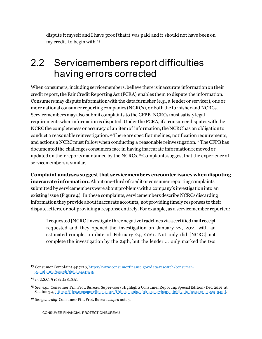dispute it myself and I have proof that it was paid and it should not have been on my credit, to begin with. [13](#page-11-1)

### <span id="page-11-0"></span>2.2 Servicemembers report difficulties having errors corrected

When consumers, including servicemembers, believe there is inaccurate information on their credit report, the Fair Credit Reporting Act (FCRA) enables them to dispute the information. Consumersmay dispute information with the data furnisher (e.g., a lender or servicer), one or more national consumer reporting companies (NCRCs), or both the furnisher and NCRCs. Servicemembers may also submit complaints to the CFPB. NCRCs must satisfy legal requirements when information is disputed. Under the FCRA, if a consumer disputes with the NCRC the completeness or accuracy of an item of information, the NCRC has an obligation to conduct a reasonable reinvestigation. [14](#page-11-2)There are specific timelines, notification requirements, and actions a NCRC must follow when conducting a reasonable reinvestigation.[15](#page-11-3) The CFPB has documented the challenges consumers face in having inaccurate information removed or updated on their reports maintained by the NCRCs.<sup>[16](#page-11-4)</sup>Complaints suggest that the experience of servicemembers is similar.

**Complaint analyses suggest that servicemembers encounter issues when disputing inaccurate information.** About one-third of credit or consumer reporting complaints submitted by servicemembers were about problems with a company's investigation into an existing issue (Figure 4). In these complaints, servicemembers describe NCRCs discarding information they provide about inaccurate accounts, not providing timely responses to their dispute letters, or not providing a response entirely. For example, as a servicemember reported:

I requested [NCRC]investigate three negative tradelines via a certified mail receipt requested and they opened the investigation on January 22, 2021 with an estimated completion date of February 24, 2021. Not only did [NCRC] not complete the investigation by the 24th, but the lender … only marked the two

<span id="page-11-1"></span><sup>&</sup>lt;sup>13</sup> Consumer Complaint 4417210[, https://www.consumerfinance.gov/data-research/consumer](https://www.consumerfinance.gov/data-research/consumer-complaints/search/detail/4417210)[complaints/search/detail/4417210.](https://www.consumerfinance.gov/data-research/consumer-complaints/search/detail/4417210)

<span id="page-11-2"></span><sup>14</sup> 15 U.S.C. § 1681i(a)(1)(A).

<span id="page-11-3"></span><sup>15</sup> *See, e.g.,* Consumer Fin. Prot. Bureau, Supervisory Highlights Consumer Reporting Special Edition (Dec. 2019) at Section 3.4[, https://files.consumerfinance.gov/f/documents/cfpb\\_supervisory-highlights\\_issue-20\\_122019.pdf](https://files.consumerfinance.gov/f/documents/cfpb_supervisory-highlights_issue-20_122019.pdf).

<span id="page-11-4"></span><sup>16</sup> *See generally* Consumer Fin. Prot. Bureau, *supra* note 7.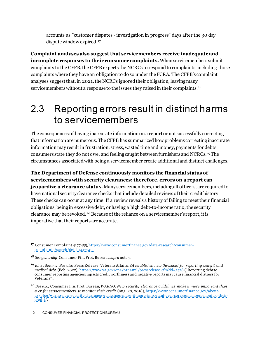accounts as "customer disputes - investigation in progress" days after the 30 day dispute window expired.<sup>[17](#page-12-1)</sup>

**Complaint analyses also suggest that servicemembers receive inadequate and incomplete responses to their consumer complaints.** When servicemembers submit complaints to the CFPB, the CFPB expects the NCRCs to respond to complaints, including those complaints where they have an obligation to do so under the FCRA. The CFPB's complaint analyses suggest that, in 2021, the NCRCs ignored their obligation, leavingmany servicemembers without a response to the issues they raised in their complaints. [18](#page-12-2)

#### <span id="page-12-0"></span>2.3 Reporting errors result in distinct harms to servicemembers

The consequences of having inaccurate information on a report or not successfully correcting that information are numerous. The CFPB has summarized how problems correcting inaccurate informationmay result in frustration, stress, wastedtime and money, payments for debts consumers state they do not owe, and feeling caught between furnishers and NCRCs. [19](#page-12-3)The circumstances associated with being a servicemember create additional and distinct challenges.

**The Department of Defense continuously monitors the financial status of servicemembers with security clearances; therefore, errors on a report can jeopardize a clearance status.** Many servicemembers, including all officers, are required to have national security clearance checks that include detailed reviews of their credit history. These checks can occur at any time. If a review reveals a history of failing to meet their financial obligations, being in excessive debt, or having a high debt-to-income ratio, the security clearance may be revoked.<sup>[20](#page-12-4)</sup> Because of the reliance on a servicemember's report, it is imperative that their reports are accurate.

<span id="page-12-1"></span><sup>17</sup> Consumer Complaint 417745[5, https://www.consumerfinance.gov/data-research/consumer](https://www.consumerfinance.gov/data-research/consumer-complaints/search/detail/4177455)[complaints/search/detail/4177455.](https://www.consumerfinance.gov/data-research/consumer-complaints/search/detail/4177455)

<span id="page-12-2"></span><sup>18</sup> *See generally* Consumer Fin. Prot. Bureau, *supra* note 7.

<span id="page-12-3"></span><sup>19</sup> *Id.* at Sec. 3.2. *See also* Press Release, Veterans Affairs, *VA establishes new threshold for reporting benefit and medical debt* (Feb. 2022),<https://www.va.gov/opa/pressrel/pressrelease.cfm?id=5758> ("Reporting debt to consumer reporting agencies impacts credit worthiness and negative reports may cause financial distress for Veterans").

<span id="page-12-4"></span><sup>20</sup> *See e.g.,* Consumer Fin. Prot. Bureau, *WARNO: New security clearance guidelines make it more important than ever for servicemembers to monitor their credit* (Aug. 20, 2018)[, https://www.consumerfinance.gov/about](https://www.consumerfinance.gov/about-us/blog/warno-new-security-clearance-guidelines-make-it-more-important-ever-servicemembers-monitor-their-credit/)[us/blog/warno-new-security-clearance-guidelines-make-it-more-important-ever-servicemembers-monitor-their](https://www.consumerfinance.gov/about-us/blog/warno-new-security-clearance-guidelines-make-it-more-important-ever-servicemembers-monitor-their-credit/)[credit/.](https://www.consumerfinance.gov/about-us/blog/warno-new-security-clearance-guidelines-make-it-more-important-ever-servicemembers-monitor-their-credit/)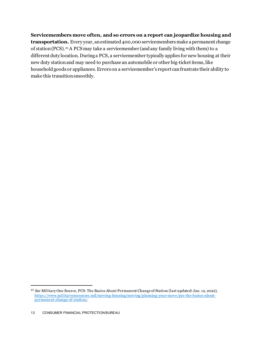**Servicemembers move often, and so errors on a report can jeopardize housing and transportation.** Every year, an estimated 400,000 servicemembers make a permanent change of station (PCS).[21](#page-13-0)A PCS may take a servicemember (and any family living with them) to a different duty location. During a PCS, a servicemember typically applies for new housing at their new duty station and may need to purchase an automobile or other big-ticket items, like household goods or appliances.Errors on a servicemember's report can frustrate their ability to make this transition smoothly.

<span id="page-13-0"></span><sup>21</sup> *See* Military One Source, PCS: The Basics About Permanent Change of Station (last updated: Jan. 12, 2022), [https://www.militaryonesource.mil/moving-housing/moving/planning-your-move/pcs-the-basics-about](https://www.militaryonesource.mil/moving-housing/moving/planning-your-move/pcs-the-basics-about-permanent-change-of-station/)[permanent-change-of-station/.](https://www.militaryonesource.mil/moving-housing/moving/planning-your-move/pcs-the-basics-about-permanent-change-of-station/)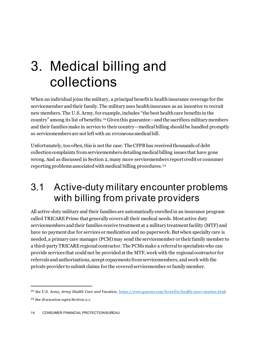## <span id="page-14-0"></span>3. Medical billing and collections

When an individual joins the military, a principal benefit is health insurance coverage for the servicemember and their family. The military uses health insurance as an incentive to recruit new members. The U.S. Army, for example, includes "the best health care benefits in the country" among its list of benefits.<sup>[22](#page-14-2)</sup> Given this guarantee—and the sacrifices military members and their families make in service to their country—medical billing should be handled promptly so servicemembers are not left with an erroneous medical bill.

Unfortunately, too often, this is not the case. The CFPB has received thousands of debt collection complaints from servicemembers detailing medical billing issues that have gone wrong. And as discussed in Section 2, many more servicemembers report credit or consumer reporting problems associated with medical billing procedures.[23](#page-14-3)

### <span id="page-14-1"></span>3.1 Active-duty military encounter problems with billing from private providers

All active-duty military and their families are automatically enrolled in an insurance program called TRICARE Prime that generally covers all their medical needs. Most active duty servicemembers and their families receive treatment at a military treatment facility (MTF) and have no payment due for services or medication and no paperwork. But when specialty care is needed, a primary care manager (PCM) may send the servicemember or their family member to a third-party TRICARE regional contractor. The PCMs make a referral to specialists who can provide services that could not be provided at the MTF, work with the regional contractor for referrals and authorizations, accept copayments from servicemembers, and work with the private provider to submit claims for the covered servicemember or family member.

<span id="page-14-2"></span><sup>22</sup> *See* U.S. Army, *Army Health Care and Vacation*,<https://www.goarmy.com/benefits/health-care-vacation.html>.

<span id="page-14-3"></span><sup>23</sup> *See* discussion *supra* Section 2.1.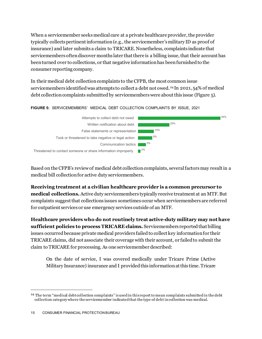When a servicemember seeks medical care at a private healthcare provider, the provider typically collects pertinent information (e.g., the servicemember's military ID as proof of insurance) and later submits a claim to TRICARE. Nonetheless, complaints indicate that servicemembers often discover months later that there is a billing issue, that their account has been turned over to collections, or that negative information has been furnished to the consumer reporting company.

In their medical debt collection complaints to the CFPB, the most common issue servicemembers identifiedwas attempts to collect a debt not owed.[24](#page-15-0) In 2021, 54% of medical debt collection complaints submitted by servicemembers were about this issue (Figure 5).

#### **FIGURE 5:** SERVICEMEMBERS' MEDICAL DEBT COLLECTION COMPLAINTS BY ISSUE, 2021



Based on the CFPB's review of medical debt collection complaints, several factorsmay result in a medical bill collectionfor active duty servicemembers.

**Receiving treatment at a civilian healthcare provider is a common precursor to medical collections.** Active duty servicemembers typically receive treatment at an MTF. But complaints suggest that collections issues sometimes occur when servicemembers are referred for outpatient services or use emergency services outside of an MTF.

**Healthcare providers who do not routinely treat active-duty military may not have sufficient policies to process TRICARE claims.** Servicemembers reported that billing issues occurred because private medical providers failed to collect key information for their TRICARE claims, did not associate their coverage with their account, or failed to submit the claim to TRICARE for processing. As one servicemember described:

On the date of service, I was covered medically under Tricare Prime (Active Military Insurance) insurance and I provided this information at this time. Tricare

<span id="page-15-0"></span><sup>&</sup>lt;sup>24</sup> The term "medical debt collection complaints" is used in this report to mean complaints submitted in the debt collection category where the servicemember indicated that the type of debt in collection was medical.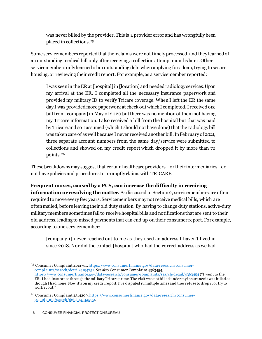was never billed by the provider. This is a provider error and has wrongfully been placed in collections.[25](#page-16-0)

Some servicemembers reported that their claims were not timely processed, and they learned of an outstanding medical bill only after receiving a collection attempt months later. Other servicemembers only learned of an outstanding debt when applying for a loan, trying to secure housing, or reviewing their credit report. For example, as a servicemember reported:

I was seen in the ER at [hospital] in [location] and needed radiology services. Upon my arrival at the ER, I completed all the necessary insurance paperwork and provided my military ID to verify Tricare coverage. When I left the ER the same day I was provided more paperwork at check out which I completed. I received one bill from [company] in May of 2020 but there was no mention of them not having my Tricare information. I also received a bill from the hospital but that was paid by Tricare and so I assumed (which I should not have done) that the radiology bill was taken care of as well because I never received another bill. In February of 2021, three separate account numbers from the same day/service were submitted to collections and showed on my credit report which dropped it by more than 70 points.[26](#page-16-1)

These breakdownsmay suggest that certain healthcare providers—or their intermediaries—do not have policies and procedures to promptly claims with TRICARE.

#### **Frequent moves, caused by a PCS, can increase the difficulty in receiving**

**information or resolving the matter.** As discussed in Section 2, servicemembers are often required to move every few years. Servicemembers may not receive medical bills, which are often mailed, before leaving their old duty station. By having to change duty stations, active-duty military members sometimes fail to receive hospital bills and notifications that are sent to their old address, leading to missed payments that can end up on their consumer report. For example, according to one servicemember:

[company 1] never reached out to me as they used an address I haven't lived in since 2018. Nor did the contact [hospital] who had the correct address as we had

<span id="page-16-0"></span><sup>&</sup>lt;sup>25</sup> Consumer Complaint 4194751[, https://www.consumerfinance.gov/data-research/consumer](https://www.consumerfinance.gov/data-research/consumer-complaints/search/detail/4194751)[complaints/search/detail/4194751.](https://www.consumerfinance.gov/data-research/consumer-complaints/search/detail/4194751) *See also* Consumer Complaint 4363454, <https://www.consumerfinance.gov/data-research/consumer-complaints/search/detail/4363454> ("I went to the

ER. I had insurance through the military Tricare prime. The visit was not billed under my insurance it was billed as though I had none. Now it's on my credit report. I've disputed it multiple times and they refuse to drop it or try to work it out.").

<span id="page-16-1"></span><sup>&</sup>lt;sup>26</sup> Consumer Complaint 4314209[, https://www.consumerfinance.gov/data-research/consumer](https://www.consumerfinance.gov/data-research/consumer-complaints/search/detail/4314209)[complaints/search/detail/4314209.](https://www.consumerfinance.gov/data-research/consumer-complaints/search/detail/4314209)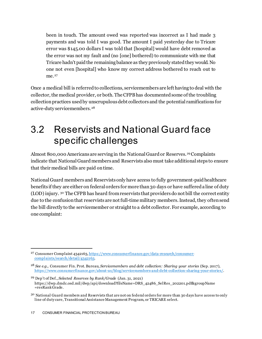been in touch. The amount owed was reported was incorrect as I had made 3 payments and was told I was good. The amount I paid yesterday due to Tricare error was \$145.00 dollars I was told that [hospital] would have debt removed as the error was not my fault and (no [one] bothered) to communicate with me that Tricare hadn't paid the remaining balance as they previously stated they would. No one not even [hospital] who know my correct address bothered to reach out to me.<sup>[27](#page-17-1)</sup>

Once a medical bill is referred to collections, servicemembers are left having to deal with the collector, the medical provider, or both. The CFPB has documented some of the troubling collection practices used by unscrupulous debt collectors and the potential ramifications for active-duty servicemembers.<sup>[28](#page-17-2)</sup>

### <span id="page-17-0"></span>3.2 Reservists and National Guard face specific challenges

Almost 800,000 Americans are serving in the National Guard or Reserves.<sup>[29](#page-17-3)</sup> Complaints indicate that National Guard members and Reservists also must take additional steps to ensure that their medical bills are paid on time.

National Guard members and Reservists only have access to fully government-paid healthcare benefits if they are either on federal orders for more than 30 days or have suffered a line of duty (LOD) injury. [30](#page-17-4) The CFPB has heard from reservists that providers do not bill the correct entity due to the confusion that reservists are not full-time military members. Instead, they often send the bill directly to the servicemember or straight to a debt collector. For example, according to one complaint:

<span id="page-17-1"></span><sup>27</sup> Consumer Complaint 4342163[, https://www.consumerfinance.gov/data-research/consumer](https://www.consumerfinance.gov/data-research/consumer-complaints/search/detail/4342163)[complaints/search/detail/4342163.](https://www.consumerfinance.gov/data-research/consumer-complaints/search/detail/4342163)

<span id="page-17-2"></span><sup>28</sup> *See e.g.,* Consumer Fin. Prot. Bureau, *Servicemembers and debt collection: Sharing your stories* (Sep. 2017), [https://www.consumerfinance.gov/about-us/blog/servicemembers-and-debt-collection-sharing-your-stories/.](https://www.consumerfinance.gov/about-us/blog/servicemembers-and-debt-collection-sharing-your-stories/)

<span id="page-17-3"></span><sup>29</sup> Dep't of Def., *Selected Reserves by Rank/Grade* (Jan. 31, 2021) https://dwp.dmdc.osd.mil/dwp/api/download?fileName=DRS\_42486\_SelRes\_202201.pdf&groupName  $=$ res $\overline{R}$ ank $\overline{G}$ rade.

<span id="page-17-4"></span><sup>&</sup>lt;sup>30</sup> National Guard members and Reservists that are not on federal orders for more than 30 days have access to only line of duty care, Transitional Assistance Management Program, or TRICARE select.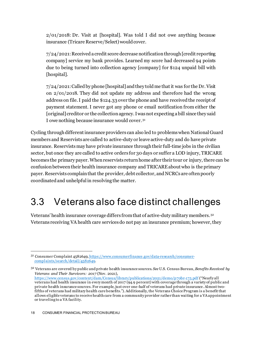2/01/2018: Dr. Visit at [hospital]. Was told I did not owe anything because insurance (Tricare Reserve/Select) would cover.

7/24/2021: Received a credit score decrease notification through [credit reporting company] service my bank provides. Learned my score had decreased 94 points due to being turned into collection agency [company] for \$124 unpaid bill with [hospital].

7/24/2021: Called by phone [hospital] and they told me that it was for the Dr. Visit on 2/01/2018. They did not update my address and therefore had the wrong address on file. I paid the \$124.33 over the phone and have received the receipt of payment statement. I never got any phone or email notification from either the [original] creditor or the collection agency. I was not expecting a bill since they said I owe nothing because insurance would cover. [31](#page-18-1)

Cycling through different insurance providers can also led to problems when National Guard members and Reservists are called to active-duty or leave active-duty and do have private insurance. Reservists may have private insurance through their full-time jobs in the civilian sector, but once they are called to active orders for 30 days or suffer a LOD injury, TRICARE becomes the primary payer. When reservists return home after their tour or injury, there can be confusion between their health insurance company and TRICARE about who is the primary payer. Reservists complainthat the provider, debt collector, and NCRCs are often poorly coordinated and unhelpfulin resolving the matter.

### <span id="page-18-0"></span>3.3 Veterans also face distinct challenges

Veterans' health insurance coverage differs fromthat of active-duty military members.[32](#page-18-2) Veterans receiving VA health care services do not pay an insurance premium; however, they

<span id="page-18-1"></span><sup>31</sup> Consumer Complaint 4582649[, https://www.consumerfinance.gov/data-research/consumer](https://www.consumerfinance.gov/data-research/consumer-complaints/search/detail/4582649)[complaints/search/detail/4582649.](https://www.consumerfinance.gov/data-research/consumer-complaints/search/detail/4582649)

<span id="page-18-2"></span><sup>32</sup> Veterans are covered by public and private health insurance sources. *See* U.S. Census Bureau, *Benefits Received by Veterans and Their Survivors: 2017* (Nov. 2021), <https://www.census.gov/content/dam/Census/library/publications/2021/demo/p70br-175.pdf> ("Nearly all veterans had health insurance in every month of 2017 (94.9 percent) with coverage through a variety of public and private health insurance sources. For example, just over one-half of veterans had private insurance. Almost twofifths of veterans had military health care benefits."). Additionally, the Veterans Choice Program is a benefit that allows eligible veterans to receive health care from a community provider rather than waiting for a VA appointment or traveling to a VA facility.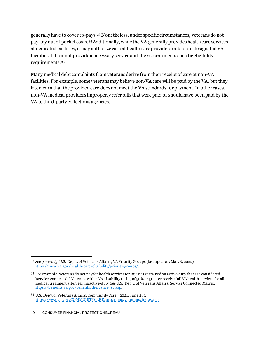generally have to cover co-pays.[33](#page-19-0)Nonetheless, under specific circumstances, veterans do not pay any out of pocket costs.[34](#page-19-1)Additionally, while the VA generally provides health care services at dedicated facilities, it may authorize care at health care providers outside of designated VA facilities if it cannot provide a necessary service and the veteran meets specific eligibility requirements.[35](#page-19-2)

Many medical debt complaints from veterans derive from their receipt of care at non-VA facilities. For example, some veterans may believe non-VA care will be paid by the VA, but they later learn that the provided care does not meet the VA standards for payment. In other cases, non-VA medical providers improperly refer bills that were paid or should have been paid by the VA to third-party collections agencies.

<span id="page-19-0"></span><sup>33</sup> *See generally* U.S. Dep't. of Veterans Affairs, VA Priority Groups (last updated: Mar. 8, 2022), [https://www.va.gov/health-care/eligibility/priority-groups/.](https://www.va.gov/health-care/eligibility/priority-groups/)

<span id="page-19-1"></span><sup>34</sup> For example, veterans do not pay for health services for injuries sustained on active-duty that are considered "service-connected." Veterans with a VA disability rating of 50% or greater receive full VA health services for all medical treatment after leaving active-duty. *See* U.S. Dep't. of Veterans Affairs, Service Connected Matrix, [https://benefits.va.gov/benefits/derivative\\_sc.asp.](https://benefits.va.gov/benefits/derivative_sc.asp)

<span id="page-19-2"></span><sup>35</sup> U.S. Dep't of Veterans Affairs. Community Care. (2021, June 28). <https://www.va.gov/COMMUNITYCARE/programs/veterans/index.asp>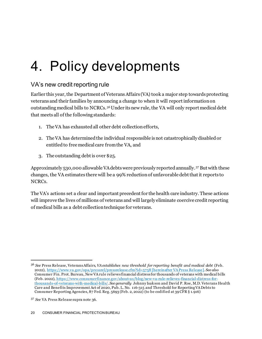## <span id="page-20-0"></span>4. Policy developments

#### VA's new credit reporting rule

Earlier this year, the Department of Veterans Affairs (VA) took a major step towards protecting veterans and their families by announcing a change to when it will report information on outstanding medical bills to NCRCs.[36](#page-20-1)Under its new rule, the VA will only report medical debt that meets all of the following standards:

- 1. The VA has exhausted all other debt collection efforts,
- 2. The VA has determined the individual responsible is not catastrophically disabled or entitled to free medical care from the VA, and
- 3. The outstanding debt is over \$25.

Approximately 530,000 allowable VA debts were previously reported annually. [37](#page-20-2) But with these changes, the VA estimates there will be a 99% reduction of unfavorable debt that it reports to NCRCs.

The VA's actions set a clear and important precedent for the health care industry. These actions will improve the lives of millions of veterans and will largely eliminate coercive credit reporting of medical bills as a debt collection technique for veterans.

<span id="page-20-1"></span><sup>36</sup> *See* Press Release, Veterans Affairs, *VA establishes new threshold for reporting benefit and medical debt* (Feb. 2022),<https://www.va.gov/opa/pressrel/pressrelease.cfm?id=5758> [hereinafter VA Press Release]. *See also* Consumer Fin. Prot. Bureau, New VA rule relieves financial distress for thousands of veterans with medical bills (Feb. 2022), [https://www.consumerfinance.gov/about-us/blog/new-va-rule-relieves-financial-distress-for](https://www.consumerfinance.gov/about-us/blog/new-va-rule-relieves-financial-distress-for-thousands-of-veterans-with-medical-bills/)[thousands-of-veterans-with-medical-bills/.](https://www.consumerfinance.gov/about-us/blog/new-va-rule-relieves-financial-distress-for-thousands-of-veterans-with-medical-bills/) *See generally* Johnny Isakson and David P. Roe, M.D. Veterans Health Care and Benefits Improvement Act of 2020, Pub. L. No. 116-315 and Threshold for Reporting VA Debts to Consumer Reporting Agencies, 87 Fed. Reg. 5693 (Feb. 2, 2022) (to be codified at 39 CFR § 1.916)

<span id="page-20-2"></span><sup>37</sup> *See* VA Press Release supra note 36.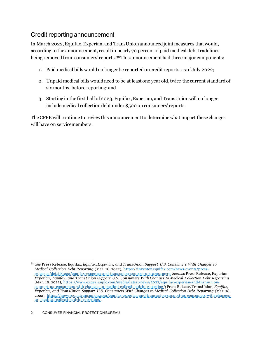#### Credit reporting announcement

In March 2022, Equifax, Experian, and TransUnion announced joint measures that would, according to the announcement, result in nearly 70 percent of paid medical debt tradelines being removed from consumers' reports.[38](#page-21-0)This announcement had three major components:

- 1. Paid medical bills would no longer be reported on credit reports, as of July 2022;
- 2. Unpaid medical bills would need to be at least one year old, twice the current standard of six months, before reporting; and
- 3. Starting in the first half of 2023, Equifax, Experian, and TransUnion will no longer include medical collection debt under \$500 on consumers' reports.

The CFPB will continue to review this announcement to determine what impact these changes will have on servicemembers.

<span id="page-21-0"></span><sup>38</sup> *See* Press Release, Equifax, *Equifax, Experian, and TransUnion Support U.S. Consumers With Changes to Medical Collection Debt Reporting* (Mar. 18, 2022), [https://investor.equifax.com/news-events/press](https://investor.equifax.com/news-events/press-releases/detail/1222/equifax-experian-and-transunion-support-u-s-consumers)[releases/detail/1222/equifax-experian-and-transunion-support-u-s-consumers](https://investor.equifax.com/news-events/press-releases/detail/1222/equifax-experian-and-transunion-support-u-s-consumers). *See also* Press Release, Experian, *Experian, Equifax, and TransUnion Support U.S. Consumers With Changes to Medical Collection Debt Reporting* (Mar. 18, 2022), [https://www.experianplc.com/media/latest-news/2022/equifax-experian-and-transunion](https://www.experianplc.com/media/latest-news/2022/equifax-experian-and-transunion-support-us-%20consumers-with-changes-to-medical-collection-debt-reporting/)[support-us- consumers-with-changes-to-medical-collection-debt-reporting/](https://www.experianplc.com/media/latest-news/2022/equifax-experian-and-transunion-support-us-%20consumers-with-changes-to-medical-collection-debt-reporting/); Press Release, TransUnion, *Equifax, Experian, and TransUnion Support U.S. Consumers With Changes to Medical Collection Debt Reporting* (Mar. 18, 2022), [https://newsroom.transunion.com/equifax-experian-and-transunion-support-us-consumers-with-changes](https://newsroom.transunion.com/equifax-experian-and-transunion-support-us-consumers-with-changes-to-%20medical-collection-debt-reporting/)[to- medical-collection-debt-reporting/.](https://newsroom.transunion.com/equifax-experian-and-transunion-support-us-consumers-with-changes-to-%20medical-collection-debt-reporting/)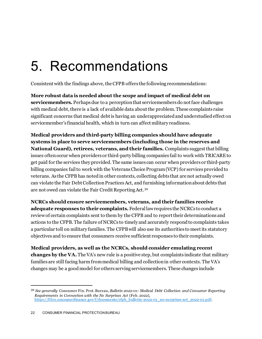## <span id="page-22-0"></span>5. Recommendations

Consistent with the findings above, the CFPB offers the following recommendations:

**More robust data is needed about the scope and impact of medical debt on servicemembers.** Perhaps due to a perception that servicemembers do not face challenges with medical debt, there is a lack of available data about the problem. These complaints raise significant concerns that medical debt is having an underappreciated and understudied effect on servicemember's financial health, which in turn can affect military readiness.

**Medical providers and third-party billing companies should have adequate systems in place to serve servicemembers (including those in the reserves and National Guard), retirees, veterans, and their families.** Complaints suggest that billing issues often occur when providers or third-party billing companies fail to work with TRICARE to get paid for the services they provided. The same issues can occur when providers or third-party billing companies fail to work with the Veterans Choice Program (VCP) for services provided to veterans. As the CFPB has noted in other contexts, collecting debts that are not actually owed can violate the Fair Debt Collection Practices Act, and furnishing information about debts that are not owed can violate the Fair Credit Reporting Act. [39](#page-22-1) 

**NCRCs should ensure servicemembers, veterans, and their families receive adequate responses to their complaints.** Federal law requires the NCRCs to conduct a review of certain complaints sent to them by the CFPB and to report their determinations and actions to the CFPB. The failure of NCRCs to timely and accurately respond to complaints takes a particular toll on military families. The CFPB will also use its authorities to meet its statutory objectives and to ensure that consumers receive sufficient responses to their complaints.

**Medical providers, as well as the NCRCs, should consider emulating recent changes by the VA.** The VA's new rule is a positive step, but complaints indicate that military families are still facing harm from medical billing and collection in other contexts. The VA's changes may be a good model for others serving servicemembers. These changes include

<span id="page-22-1"></span><sup>39</sup> *See generally* Consumer Fin. Prot. Bureau, *Bulletin 2022-01: Medical Debt Collection and Consumer Reporting Requirements in Connection with the No Surprises Act* (Feb. 2022), [https://files.consumerfinance.gov/f/documents/cfpb\\_bulletin-2022-01\\_no-surprises-act\\_2022-01.pdf](https://files.consumerfinance.gov/f/documents/cfpb_bulletin-2022-01_no-surprises-act_2022-01.pdf).